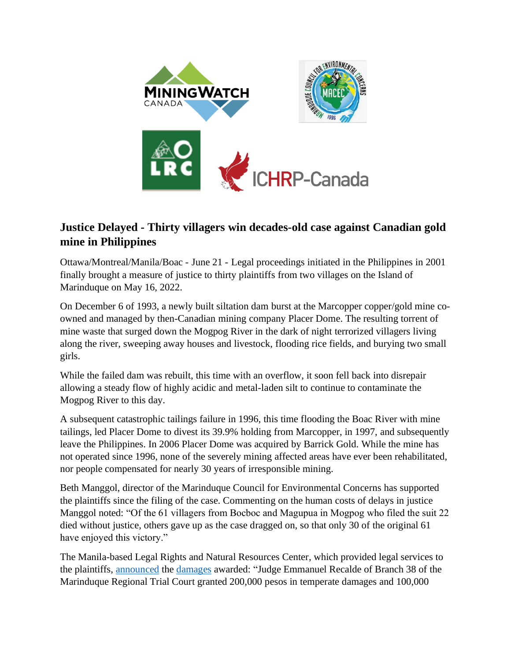

## **Justice Delayed - Thirty villagers win decades-old case against Canadian gold mine in Philippines**

Ottawa/Montreal/Manila/Boac - June 21 - Legal proceedings initiated in the Philippines in 2001 finally brought a measure of justice to thirty plaintiffs from two villages on the Island of Marinduque on May 16, 2022.

On December 6 of 1993, a newly built siltation dam burst at the Marcopper copper/gold mine coowned and managed by then-Canadian mining company Placer Dome. The resulting torrent of mine waste that surged down the Mogpog River in the dark of night terrorized villagers living along the river, sweeping away houses and livestock, flooding rice fields, and burying two small girls.

While the failed dam was rebuilt, this time with an overflow, it soon fell back into disrepair allowing a steady flow of highly acidic and metal-laden silt to continue to contaminate the Mogpog River to this day.

A subsequent catastrophic tailings failure in 1996, this time flooding the Boac River with mine tailings, led Placer Dome to divest its 39.9% holding from Marcopper, in 1997, and subsequently leave the Philippines. In 2006 Placer Dome was acquired by Barrick Gold. While the mine has not operated since 1996, none of the severely mining affected areas have ever been rehabilitated, nor people compensated for nearly 30 years of irresponsible mining.

Beth Manggol, director of the Marinduque Council for Environmental Concerns has supported the plaintiffs since the filing of the case. Commenting on the human costs of delays in justice Manggol noted: "Of the 61 villagers from Bocboc and Magupua in Mogpog who filed the suit 22 died without justice, others gave up as the case dragged on, so that only 30 of the original 61 have enjoyed this victory."

The Manila-based Legal Rights and Natural Resources Center, which provided legal services to the plaintiffs, [announced](https://www.lrcksk.org/post/in-historic-decision-court-awards-damages-to-marcopper-survivors?fbclid=IwAR0AkH38sDEW--cy3J7XFShEvv94NdppASZTRLKDwS3UxQNMGuk9X7Fwz3M) the [damages](https://ndvlaw.com/damages-awarded-under-philippine-law/) awarded: "Judge Emmanuel Recalde of Branch 38 of the Marinduque Regional Trial Court granted 200,000 pesos in temperate damages and 100,000